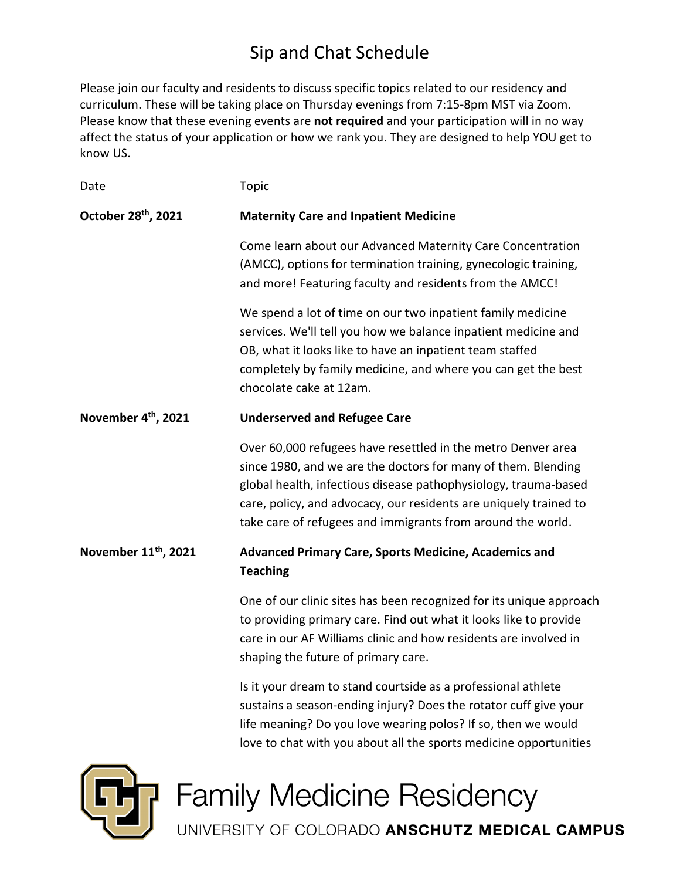# Sip and Chat Schedule

Please join our faculty and residents to discuss specific topics related to our residency and curriculum. These will be taking place on Thursday evenings from 7:15-8pm MST via Zoom. Please know that these evening events are **not required** and your participation will in no way affect the status of your application or how we rank you. They are designed to help YOU get to know US.

| Date                             | <b>Topic</b>                                                                                                                                                                                                                                                                                                                         |
|----------------------------------|--------------------------------------------------------------------------------------------------------------------------------------------------------------------------------------------------------------------------------------------------------------------------------------------------------------------------------------|
| October 28th, 2021               | <b>Maternity Care and Inpatient Medicine</b>                                                                                                                                                                                                                                                                                         |
|                                  | Come learn about our Advanced Maternity Care Concentration<br>(AMCC), options for termination training, gynecologic training,<br>and more! Featuring faculty and residents from the AMCC!                                                                                                                                            |
|                                  | We spend a lot of time on our two inpatient family medicine<br>services. We'll tell you how we balance inpatient medicine and<br>OB, what it looks like to have an inpatient team staffed<br>completely by family medicine, and where you can get the best<br>chocolate cake at 12am.                                                |
| November 4 <sup>th</sup> , 2021  | <b>Underserved and Refugee Care</b>                                                                                                                                                                                                                                                                                                  |
|                                  | Over 60,000 refugees have resettled in the metro Denver area<br>since 1980, and we are the doctors for many of them. Blending<br>global health, infectious disease pathophysiology, trauma-based<br>care, policy, and advocacy, our residents are uniquely trained to<br>take care of refugees and immigrants from around the world. |
| November 11 <sup>th</sup> , 2021 | <b>Advanced Primary Care, Sports Medicine, Academics and</b><br><b>Teaching</b>                                                                                                                                                                                                                                                      |
|                                  | One of our clinic sites has been recognized for its unique approach<br>to providing primary care. Find out what it looks like to provide<br>care in our AF Williams clinic and how residents are involved in<br>shaping the future of primary care.                                                                                  |
|                                  | Is it your dream to stand courtside as a professional athlete<br>sustains a season-ending injury? Does the rotator cuff give your<br>life meaning? Do you love wearing polos? If so, then we would                                                                                                                                   |



**Family Medicine Residency** 

UNIVERSITY OF COLORADO ANSCHUTZ MEDICAL CAMPUS

love to chat with you about all the sports medicine opportunities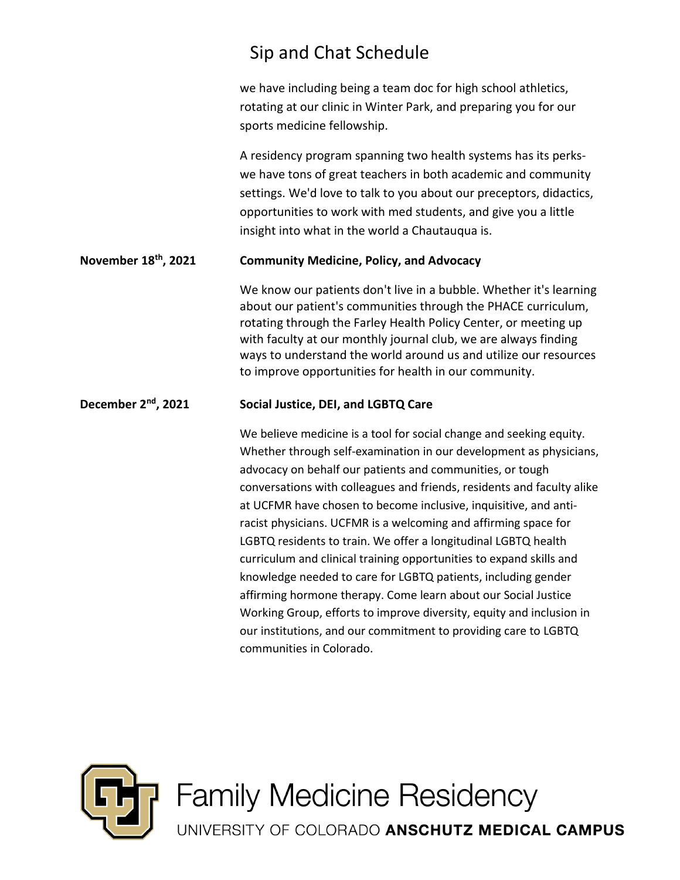## Sip and Chat Schedule

we have including being a team doc for high school athletics, rotating at our clinic in Winter Park, and preparing you for our sports medicine fellowship.

A residency program spanning two health systems has its perkswe have tons of great teachers in both academic and community settings. We'd love to talk to you about our preceptors, didactics, opportunities to work with med students, and give you a little insight into what in the world a Chautauqua is.

#### **November 18th, 2021 Community Medicine, Policy, and Advocacy**

We know our patients don't live in a bubble. Whether it's learning about our patient's communities through the PHACE curriculum, rotating through the Farley Health Policy Center, or meeting up with faculty at our monthly journal club, we are always finding ways to understand the world around us and utilize our resources to improve opportunities for health in our community.

#### **December 2nd, 2021 Social Justice, DEI, and LGBTQ Care**

We believe medicine is a tool for social change and seeking equity. Whether through self-examination in our development as physicians, advocacy on behalf our patients and communities, or tough conversations with colleagues and friends, residents and faculty alike at UCFMR have chosen to become inclusive, inquisitive, and antiracist physicians. UCFMR is a welcoming and affirming space for LGBTQ residents to train. We offer a longitudinal LGBTQ health curriculum and clinical training opportunities to expand skills and knowledge needed to care for LGBTQ patients, including gender affirming hormone therapy. Come learn about our Social Justice Working Group, efforts to improve diversity, equity and inclusion in our institutions, and our commitment to providing care to LGBTQ communities in Colorado.



**Family Medicine Residency** 

UNIVERSITY OF COLORADO ANSCHUTZ MEDICAL CAMPUS